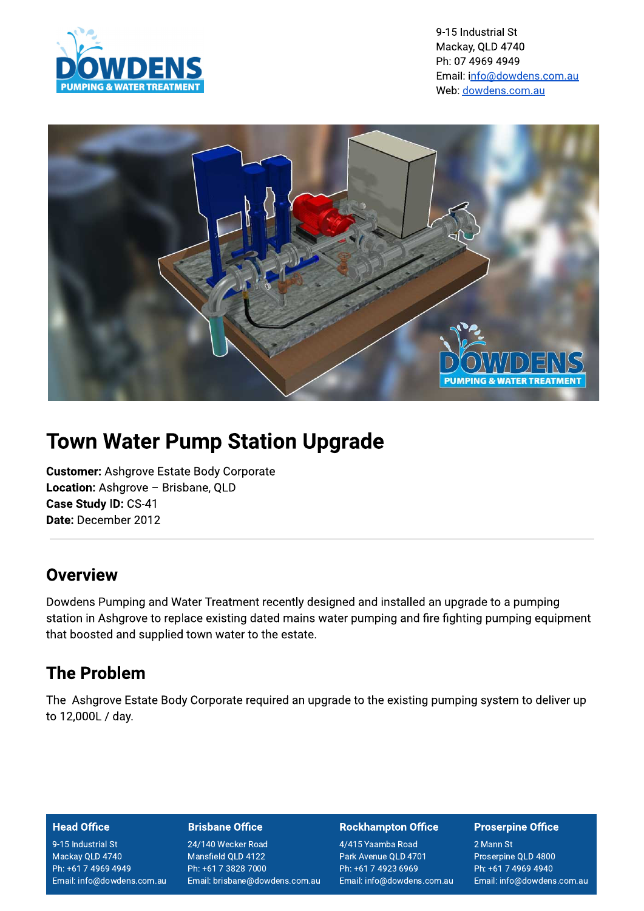

9-15 Industrial St Mackay, QLD 4740 Ph: 07 4969 4949 Email: info@dowdens.com.au Web: dowdens.com.au



# **Town Water Pump Station Upgrade**

**Customer: Ashgrove Estate Body Corporate** Location: Ashgrove - Brisbane, QLD Case Study ID: CS-41 Date: December 2012

### Overview

Dowdens Pumping and Water Treatment recently designed and installed an upgrade to a pumping station in Ashgrove to replace existing dated mains water pumping and fire fighting pumping equipment that boosted and supplied town water to the estate.

## **The Problem**

The Ashgrove Estate Body Corporate required an upgrade to the existing pumping system to deliver up to 12,000L / day.

#### **Head Office**

9-15 Industrial St Mackay QLD 4740 Ph: +61 7 4969 4949 Email: info@dowdens.com.au

#### **Brisbane Office**

24/140 Wecker Road Mansfield QLD 4122 Ph: +61 7 3828 7000 Email: brisbane@dowdens.com.au

#### **Rockhampton Office**

4/415 Yaamba Road Park Avenue QLD 4701 Ph: +61 7 4923 6969 Email: info@dowdens.com.au

#### **Proserpine Office**

2 Mann St Proserpine QLD 4800 Ph: +61 7 4969 4940 Email: info@dowdens.com.au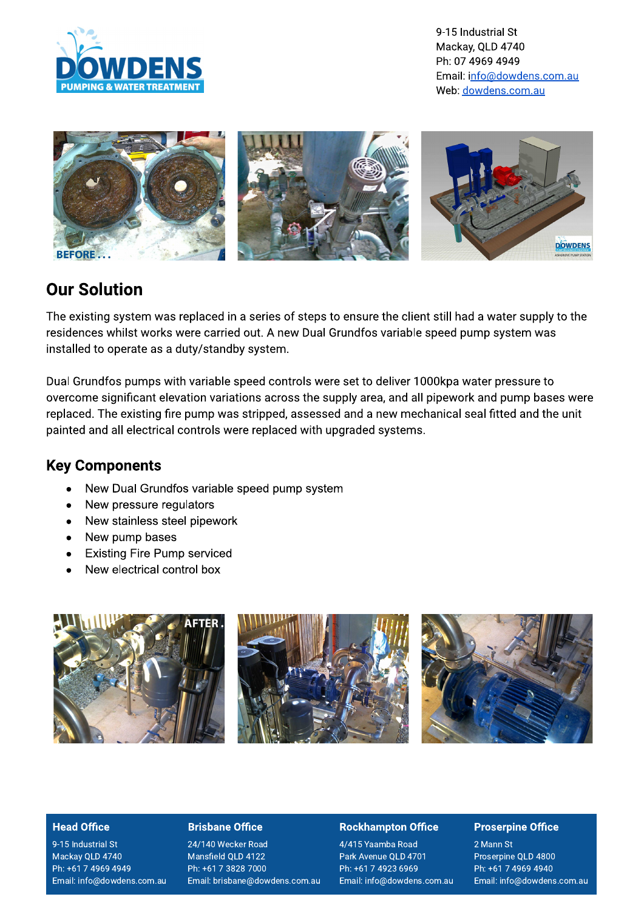

9-15 Industrial St Mackay, QLD 4740 Ph: 07 4969 4949 Email: info@dowdens.com.au Web: dowdens.com.au



### **Our Solution**

The existing system was replaced in a series of steps to ensure the client still had a water supply to the residences whilst works were carried out. A new Dual Grundfos variable speed pump system was installed to operate as a duty/standby system.

Dual Grundfos pumps with variable speed controls were set to deliver 1000kpa water pressure to overcome significant elevation variations across the supply area, and all pipework and pump bases were replaced. The existing fire pump was stripped, assessed and a new mechanical seal fitted and the unit painted and all electrical controls were replaced with upgraded systems.

### **Key Components**

- New Dual Grundfos variable speed pump system
- New pressure regulators  $\bullet$
- New stainless steel pipework  $\bullet$
- New pump bases  $\bullet$
- **Existing Fire Pump serviced**  $\bullet$
- New electrical control box  $\blacksquare$



#### **Head Office**

9-15 Industrial St Mackay QLD 4740 Ph: +61 7 4969 4949 Email: info@dowdens.com.au

#### **Brisbane Office**

24/140 Wecker Road Mansfield QLD 4122 Ph: +61 7 3828 7000 Email: brisbane@dowdens.com.au

#### **Rockhampton Office**

4/415 Yaamba Road Park Avenue QLD 4701 Ph: +61 7 4923 6969 Email: info@dowdens.com.au

#### **Proserpine Office**

2 Mann St Proserpine QLD 4800 Ph: +61 7 4969 4940 Email: info@dowdens.com.au